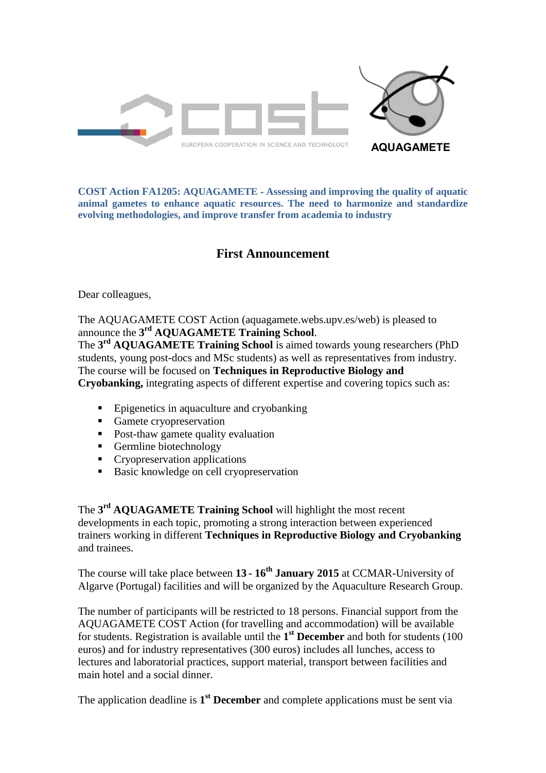

**COST Action FA1205: AQUAGAMETE** ‐ **Assessing and improving the quality of aquatic animal gametes to enhance aquatic resources. The need to harmonize and standardize evolving methodologies, and improve transfer from academia to industry**

## **First Announcement**

Dear colleagues,

The AQUAGAMETE COST Action (aquagamete.webs.upv.es/web) is pleased to announce the **3 rd AQUAGAMETE Training School**.

The **3 rd AQUAGAMETE Training School** is aimed towards young researchers (PhD students, young post-docs and MSc students) as well as representatives from industry. The course will be focused on **Techniques in Reproductive Biology and Cryobanking,** integrating aspects of different expertise and covering topics such as:

- Epigenetics in aquaculture and cryobanking
- Gamete cryopreservation
- Post-thaw gamete quality evaluation
- Germline biotechnology
- **Cryopreservation applications**
- Basic knowledge on cell cryopreservation

The **3 rd AQUAGAMETE Training School** will highlight the most recent developments in each topic, promoting a strong interaction between experienced trainers working in different **Techniques in Reproductive Biology and Cryobanking** and trainees.

The course will take place between **13 - 16 th January 2015** at CCMAR-University of Algarve (Portugal) facilities and will be organized by the Aquaculture Research Group.

The number of participants will be restricted to 18 persons. Financial support from the AQUAGAMETE COST Action (for travelling and accommodation) will be available for students. Registration is available until the **1 st December** and both for students (100 euros) and for industry representatives (300 euros) includes all lunches, access to lectures and laboratorial practices, support material, transport between facilities and main hotel and a social dinner.

The application deadline is **1 st December** and complete applications must be sent via